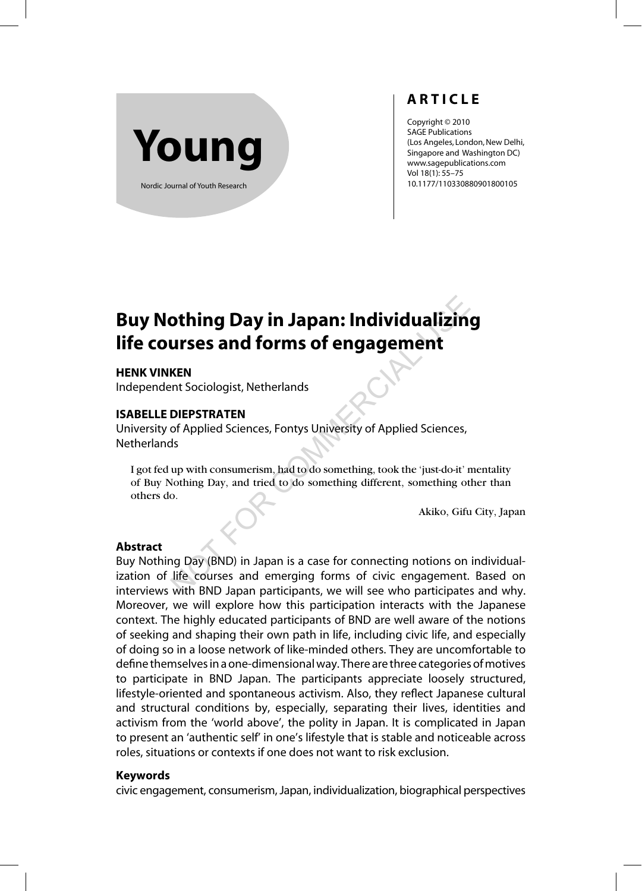

**ARTICLE**

Copyright © 2010 SAGE Publications (Los Angeles, London, New Delhi, Singapore and Washington DC) www.sagepublications.com Vol 18(1): 55–75

# **Othing Day in Japan: Individualizine**<br> **UITSES and forms of engagement**<br>
KEN<br>
METATEN<br>
METATEN<br>
OF Applied Sciences, Fontys University of Applied Sciences,<br>
As<br>
up with consumerism, had to do something, took the 'just-do-**Buy Nothing Day in Japan: Individualizing life courses and forms of engagement**

### **HENK VINKEN**

Independent Sociologist, Netherlands

# **ISABELLE DIEPSTRATEN**

University of Applied Sciences, Fontys University of Applied Sciences, **Netherlands** 

I got fed up with consumerism, had to do something, took the 'just-do-it' mentality of Buy Nothing Day, and tried to do something different, something other than others do.

Akiko, Gifu City, Japan

#### **Abstract**

Buy Nothing Day (BND) in Japan is a case for connecting notions on individualization of life courses and emerging forms of civic engagement. Based on interviews with BND Japan participants, we will see who participates and why. Moreover, we will explore how this participation interacts with the Japanese context. The highly educated participants of BND are well aware of the notions of seeking and shaping their own path in life, including civic life, and especially of doing so in a loose network of like-minded others. They are uncomfortable to define themselves in a one-dimensional way. There are three categories of motives to participate in BND Japan. The participants appreciate loosely structured, lifestyle-oriented and spontaneous activism. Also, they reflect Japanese cultural and structural conditions by, especially, separating their lives, identities and activism from the 'world above', the polity in Japan. It is complicated in Japan to present an 'authentic self' in one's lifestyle that is stable and noticeable across roles, situations or contexts if one does not want to risk exclusion.

#### **Keywords**

civic engagement, consumerism, Japan, individualization, biographical perspectives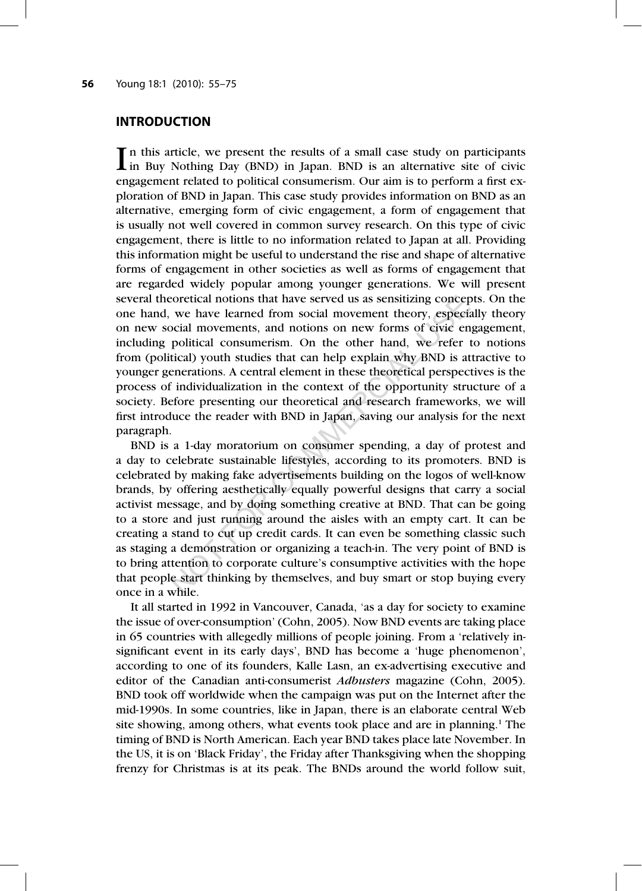## **INTRODUCTION**

In this article, we present the results of a small case study on participants<br>in Buy Nothing Day (BND) in Japan. BND is an alternative site of civic n this article, we present the results of a small case study on participants engagement related to political consumerism. Our aim is to perform a first exploration of BND in Japan. This case study provides information on BND as an alternative, emerging form of civic engagement, a form of engagement that is usually not well covered in common survey research. On this type of civic engagement, there is little to no information related to Japan at all. Providing this information might be useful to understand the rise and shape of alternative forms of engagement in other societies as well as forms of engagement that are regarded widely popular among younger generations. We will present several theoretical notions that have served us as sensitizing concepts. On the one hand, we have learned from social movement theory, especially theory on new social movements, and notions on new forms of civic engagement, including political consumerism. On the other hand, we refer to notions from (political) youth studies that can help explain why BND is attractive to younger generations. A central element in these theoretical perspectives is the process of individualization in the context of the opportunity structure of a society. Before presenting our theoretical and research frameworks, we will first introduce the reader with BND in Japan, saving our analysis for the next paragraph.

corectical notions that have served us as sensitizing concept<br>we have learned from social movement theory, espective<br>cial movements, and notions on new forms of civic en<br>political consumerism. On the other hand, we refer t BND is a 1-day moratorium on consumer spending, a day of protest and a day to celebrate sustainable lifestyles, according to its promoters. BND is celebrated by making fake advertisements building on the logos of well-know brands, by offering aesthetically equally powerful designs that carry a social activist message, and by doing something creative at BND. That can be going to a store and just running around the aisles with an empty cart. It can be creating a stand to cut up credit cards. It can even be something classic such as staging a demonstration or organizing a teach-in. The very point of BND is to bring attention to corporate culture's consumptive activities with the hope that people start thinking by themselves, and buy smart or stop buying every once in a while.

It all started in 1992 in Vancouver, Canada, 'as a day for society to examine the issue of over-consumption' (Cohn, 2005). Now BND events are taking place in 65 countries with allegedly millions of people joining. From a 'relatively insignificant event in its early days', BND has become a 'huge phenomenon', according to one of its founders, Kalle Lasn, an ex-advertising executive and editor of the Canadian anti-consumerist *Adbusters* magazine (Cohn, 2005). BND took off worldwide when the campaign was put on the Internet after the mid-1990s. In some countries, like in Japan, there is an elaborate central Web site showing, among others, what events took place and are in planning.<sup>1</sup> The timing of BND is North American. Each year BND takes place late November. In the US, it is on 'Black Friday', the Friday after Thanksgiving when the shopping frenzy for Christmas is at its peak. The BNDs around the world follow suit,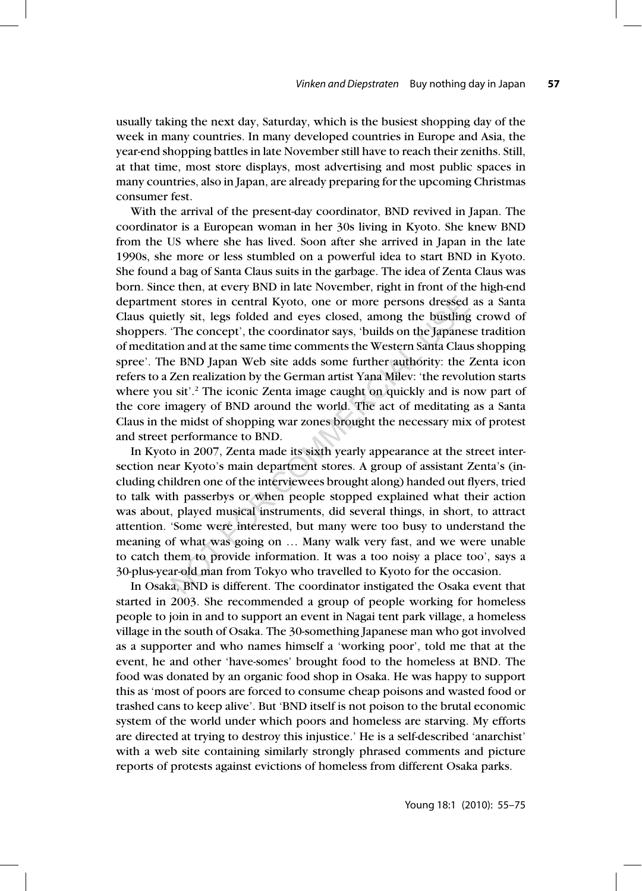usually taking the next day, Saturday, which is the busiest shopping day of the week in many countries. In many developed countries in Europe and Asia, the year-end shopping battles in late November still have to reach their zeniths. Still, at that time, most store displays, most advertising and most public spaces in many countries, also in Japan, are already preparing for the upcoming Christmas consumer fest.

the stores in central Kyoto, one or more persons dressed<br>the stit stit, legs folded and eyes closed, among the bustling<br>"The concept", the coordinator says, 'builds on the Japanes<br>ion and at the same time comments the West With the arrival of the present-day coordinator, BND revived in Japan. The coordinator is a European woman in her 30s living in Kyoto. She knew BND from the US where she has lived. Soon after she arrived in Japan in the late 1990s, she more or less stumbled on a powerful idea to start BND in Kyoto. She found a bag of Santa Claus suits in the garbage. The idea of Zenta Claus was born. Since then, at every BND in late November, right in front of the high-end department stores in central Kyoto, one or more persons dressed as a Santa Claus quietly sit, legs folded and eyes closed, among the bustling crowd of shoppers. 'The concept', the coordinator says, 'builds on the Japanese tradition of meditation and at the same time comments the Western Santa Claus shopping spree'. The BND Japan Web site adds some further authority: the Zenta icon refers to a Zen realization by the German artist Yana Milev: 'the revolution starts where you sit'.<sup>2</sup> The iconic Zenta image caught on quickly and is now part of the core imagery of BND around the world. The act of meditating as a Santa Claus in the midst of shopping war zones brought the necessary mix of protest and street performance to BND.

In Kyoto in 2007, Zenta made its sixth yearly appearance at the street intersection near Kyoto's main department stores. A group of assistant Zenta's (including children one of the interviewees brought along) handed out flyers, tried to talk with passerbys or when people stopped explained what their action was about, played musical instruments, did several things, in short, to attract attention. 'Some were interested, but many were too busy to understand the meaning of what was going on … Many walk very fast, and we were unable to catch them to provide information. It was a too noisy a place too', says a 30-plus-year-old man from Tokyo who travelled to Kyoto for the occasion.

In Osaka, BND is different. The coordinator instigated the Osaka event that started in 2003. She recommended a group of people working for homeless people to join in and to support an event in Nagai tent park village, a homeless village in the south of Osaka. The 30-something Japanese man who got involved as a supporter and who names himself a 'working poor', told me that at the event, he and other 'have-somes' brought food to the homeless at BND. The food was donated by an organic food shop in Osaka. He was happy to support this as 'most of poors are forced to consume cheap poisons and wasted food or trashed cans to keep alive'. But 'BND itself is not poison to the brutal economic system of the world under which poors and homeless are starving. My efforts are directed at trying to destroy this injustice.' He is a self-described 'anarchist' with a web site containing similarly strongly phrased comments and picture reports of protests against evictions of homeless from different Osaka parks.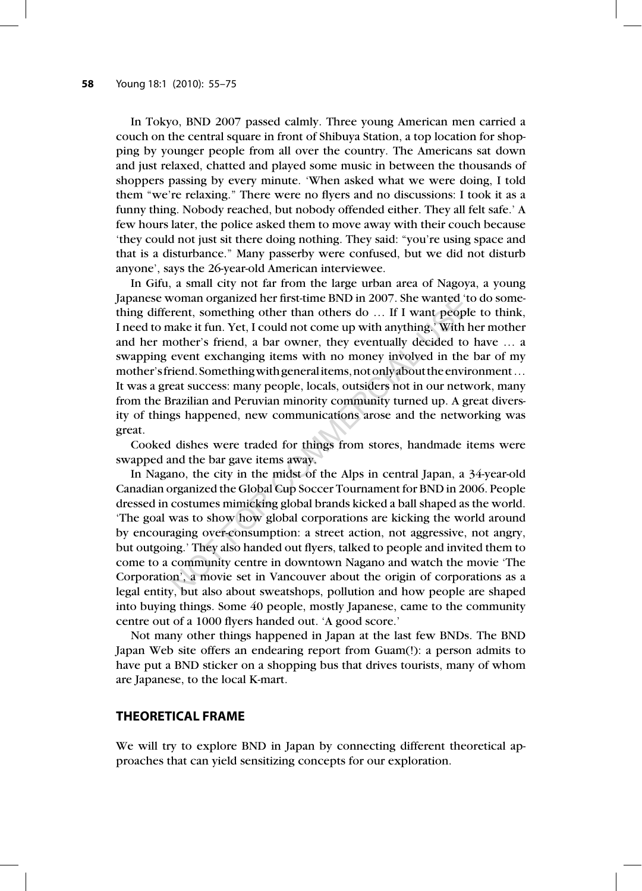In Tokyo, BND 2007 passed calmly. Three young American men carried a couch on the central square in front of Shibuya Station, a top location for shopping by younger people from all over the country. The Americans sat down and just relaxed, chatted and played some music in between the thousands of shoppers passing by every minute. 'When asked what we were doing, I told them "we're relaxing." There were no flyers and no discussions: I took it as a funny thing. Nobody reached, but nobody offended either. They all felt safe.' A few hours later, the police asked them to move away with their couch because 'they could not just sit there doing nothing. They said: "you're using space and that is a disturbance." Many passerby were confused, but we did not disturb anyone', says the 26-year-old American interviewee.

rownan organized her first-time BND in 2007. She wanted 't<br>rent, something other than others do ... If I want peopla<br>hake it fun. Yet, I could not come up with anything.' With I<br>other's friend, a bar owner, they eventually In Gifu, a small city not far from the large urban area of Nagoya, a young Japanese woman organized her first-time BND in 2007. She wanted 'to do something different, something other than others do … If I want people to think, I need to make it fun. Yet, I could not come up with anything.' With her mother and her mother's friend, a bar owner, they eventually decided to have … a swapping event exchanging items with no money involved in the bar of my mother's friend. Something with general items, not only about the environment … It was a great success: many people, locals, outsiders not in our network, many from the Brazilian and Peruvian minority community turned up. A great diversity of things happened, new communications arose and the networking was great.

Cooked dishes were traded for things from stores, handmade items were swapped and the bar gave items away.

In Nagano, the city in the midst of the Alps in central Japan, a 34-year-old Canadian organized the Global Cup Soccer Tournament for BND in 2006. People dressed in costumes mimicking global brands kicked a ball shaped as the world. 'The goal was to show how global corporations are kicking the world around by encouraging over-consumption: a street action, not aggressive, not angry, but outgoing.' They also handed out flyers, talked to people and invited them to come to a community centre in downtown Nagano and watch the movie 'The Corporation', a movie set in Vancouver about the origin of corporations as a legal entity, but also about sweatshops, pollution and how people are shaped into buying things. Some 40 people, mostly Japanese, came to the community centre out of a 1000 flyers handed out. 'A good score.'

Not many other things happened in Japan at the last few BNDs. The BND Japan Web site offers an endearing report from Guam(!): a person admits to have put a BND sticker on a shopping bus that drives tourists, many of whom are Japanese, to the local K-mart.

#### **THEORETICAL FRAME**

We will try to explore BND in Japan by connecting different theoretical approaches that can yield sensitizing concepts for our exploration.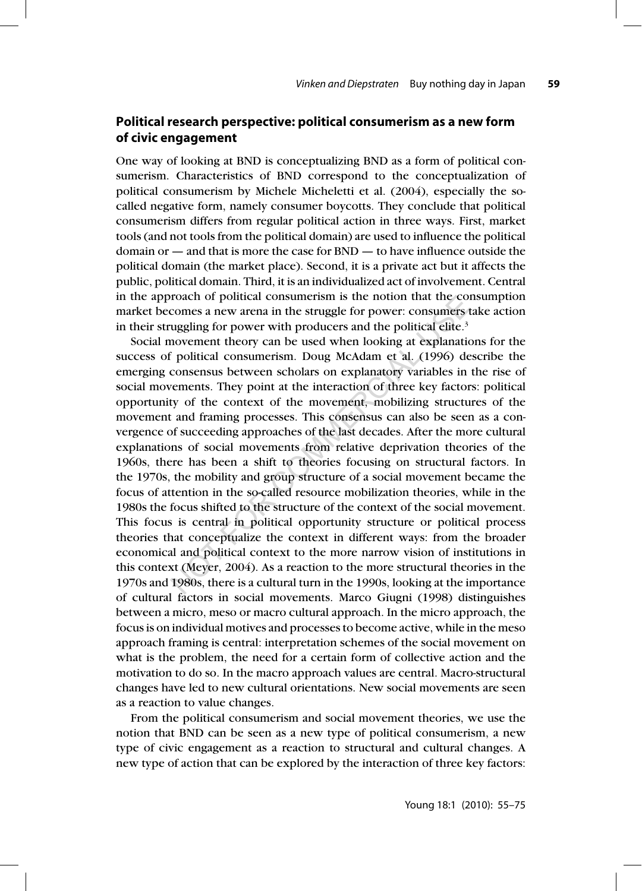# **Political research perspective: political consumerism as a new form of civic engagement**

One way of looking at BND is conceptualizing BND as a form of political consumerism. Characteristics of BND correspond to the conceptualization of political consumerism by Michele Micheletti et al. (2004), especially the socalled negative form, namely consumer boycotts. They conclude that political consumerism differs from regular political action in three ways. First, market tools (and not tools from the political domain) are used to influence the political domain or  $-$  and that is more the case for  $BND -$  to have influence outside the political domain (the market place). Second, it is a private act but it affects the public, political domain. Third, it is an individualized act of involvement. Central in the approach of political consumerism is the notion that the consumption market becomes a new arena in the struggle for power: consumers take action in their struggling for power with producers and the political elite.<sup>3</sup>

roach of political consumerism is the notion that the coromes a new arena in the struggle for power: consumers tuggling for power with producers and the political clite.<sup>3</sup> novement theory can be used when looking at expla Social movement theory can be used when looking at explanations for the success of political consumerism. Doug McAdam et al. (1996) describe the emerging consensus between scholars on explanatory variables in the rise of social movements. They point at the interaction of three key factors: political opportunity of the context of the movement, mobilizing structures of the movement and framing processes. This consensus can also be seen as a convergence of succeeding approaches of the last decades. After the more cultural explanations of social movements from relative deprivation theories of the 1960s, there has been a shift to theories focusing on structural factors. In the 1970s, the mobility and group structure of a social movement became the focus of attention in the so-called resource mobilization theories, while in the 1980s the focus shifted to the structure of the context of the social movement. This focus is central in political opportunity structure or political process theories that conceptualize the context in different ways: from the broader economical and political context to the more narrow vision of institutions in this context (Meyer, 2004). As a reaction to the more structural theories in the 1970s and 1980s, there is a cultural turn in the 1990s, looking at the importance of cultural factors in social movements. Marco Giugni (1998) distinguishes between a micro, meso or macro cultural approach. In the micro approach, the focus is on individual motives and processes to become active, while in the meso approach framing is central: interpretation schemes of the social movement on what is the problem, the need for a certain form of collective action and the motivation to do so. In the macro approach values are central. Macro-structural changes have led to new cultural orientations. New social movements are seen as a reaction to value changes.

From the political consumerism and social movement theories, we use the notion that BND can be seen as a new type of political consumerism, a new type of civic engagement as a reaction to structural and cultural changes. A new type of action that can be explored by the interaction of three key factors: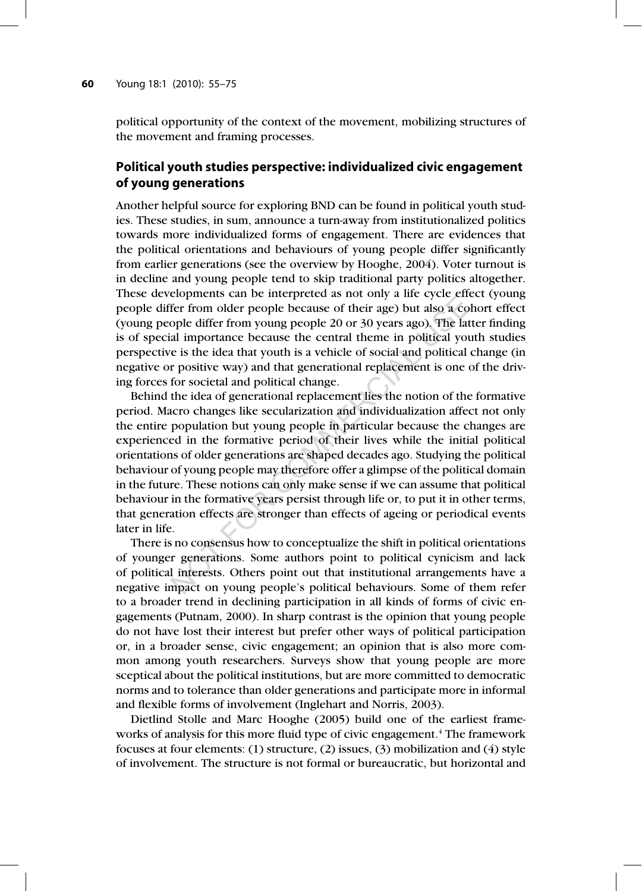political opportunity of the context of the movement, mobilizing structures of the movement and framing processes.

# **Political youth studies perspective: individualized civic engagement of young generations**

Another helpful source for exploring BND can be found in political youth studies. These studies, in sum, announce a turn-away from institutionalized politics towards more individualized forms of engagement. There are evidences that the political orientations and behaviours of young people differ significantly from earlier generations (see the overview by Hooghe, 2004). Voter turnout is in decline and young people tend to skip traditional party politics altogether. These developments can be interpreted as not only a life cycle effect (young people differ from older people because of their age) but also a cohort effect (young people differ from young people 20 or 30 years ago). The latter finding is of special importance because the central theme in political youth studies perspective is the idea that youth is a vehicle of social and political change (in negative or positive way) and that generational replacement is one of the driving forces for societal and political change.

Experients can't be interpreted as not only a me eyed entanged for from older prople because of their age) but also a coopple differ from young people 20 or 30 years ago). The lat al importance because the central theme in Behind the idea of generational replacement lies the notion of the formative period. Macro changes like secularization and individualization affect not only the entire population but young people in particular because the changes are experienced in the formative period of their lives while the initial political orientations of older generations are shaped decades ago. Studying the political behaviour of young people may therefore offer a glimpse of the political domain in the future. These notions can only make sense if we can assume that political behaviour in the formative years persist through life or, to put it in other terms, that generation effects are stronger than effects of ageing or periodical events later in life.

There is no consensus how to conceptualize the shift in political orientations of younger generations. Some authors point to political cynicism and lack of political interests. Others point out that institutional arrangements have a negative impact on young people's political behaviours. Some of them refer to a broader trend in declining participation in all kinds of forms of civic engagements (Putnam, 2000). In sharp contrast is the opinion that young people do not have lost their interest but prefer other ways of political participation or, in a broader sense, civic engagement; an opinion that is also more common among youth researchers. Surveys show that young people are more sceptical about the political institutions, but are more committed to democratic norms and to tolerance than older generations and participate more in informal and flexible forms of involvement (Inglehart and Norris, 2003).

Dietlind Stolle and Marc Hooghe (2005) build one of the earliest frameworks of analysis for this more fluid type of civic engagement.<sup>4</sup> The framework focuses at four elements: (1) structure, (2) issues, (3) mobilization and (4) style of involvement. The structure is not formal or bureaucratic, but horizontal and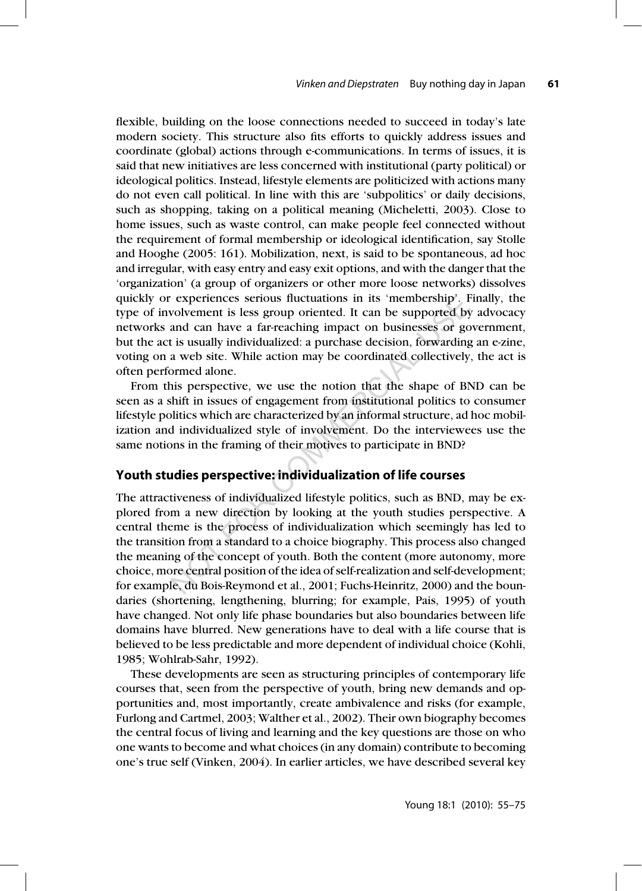flexible, building on the loose connections needed to succeed in today's late modern society. This structure also fits efforts to quickly address issues and coordinate (global) actions through e-communications. In terms of issues, it is said that new initiatives are less concerned with institutional (party political) or ideological politics. Instead, lifestyle elements are politicized with actions many do not even call political. In line with this are 'subpolitics' or daily decisions, such as shopping, taking on a political meaning (Micheletti, 2003). Close to home issues, such as waste control, can make people feel connected without the requirement of formal membership or ideological identification, say Stolle and Hooghe (2005: 161). Mobilization, next, is said to be spontaneous, ad hoc and irregular, with easy entry and easy exit options, and with the danger that the 'organization' (a group of organizers or other more loose networks) dissolves quickly or experiences serious fluctuations in its 'membership'. Finally, the type of involvement is less group oriented. It can be supported by advocacy networks and can have a far-reaching impact on businesses or government, but the act is usually individualized: a purchase decision, forwarding an e-zine, voting on a web site. While action may be coordinated collectively, the act is often performed alone.

From this perspective, we use the notion that the shape of BND can be seen as a shift in issues of engagement from institutional politics to consumer lifestyle politics which are characterized by an informal structure, ad hoc mobilization and individualized style of involvement. Do the interviewees use the same notions in the framing of their motives to participate in BND?

#### **Youth studies perspective: individualization of life courses**

experiences serious fluctuations in its 'membership'. Frolvement is less group oriented. It can be supported by and can have a far-reaching impact on businesses or go is usually individualized: a purchase decision, forward The attractiveness of individualized lifestyle politics, such as BND, may be explored from a new direction by looking at the youth studies perspective. A central theme is the process of individualization which seemingly has led to the transition from a standard to a choice biography. This process also changed the meaning of the concept of youth. Both the content (more autonomy, more choice, more central position of the idea of self-realization and self-development; for example, du Bois-Reymond et al., 2001; Fuchs-Heinritz, 2000) and the boundaries (shortening, lengthening, blurring; for example, Pais, 1995) of youth have changed. Not only life phase boundaries but also boundaries between life domains have blurred. New generations have to deal with a life course that is believed to be less predictable and more dependent of individual choice (Kohli, 1985; Wohlrab-Sahr, 1992).

These developments are seen as structuring principles of contemporary life courses that, seen from the perspective of youth, bring new demands and opportunities and, most importantly, create ambivalence and risks (for example, Furlong and Cartmel, 2003; Walther et al., 2002). Their own biography becomes the central focus of living and learning and the key questions are those on who one wants to become and what choices (in any domain) contribute to becoming one's true self (Vinken, 2004). In earlier articles, we have described several key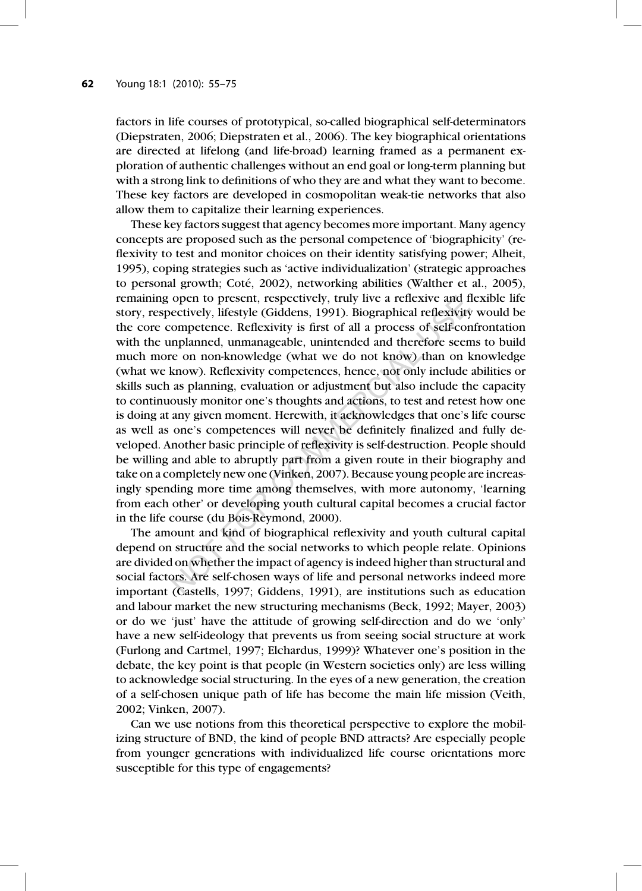#### **62** Young 18:1 (2010): 55–75

factors in life courses of prototypical, so-called biographical self-determinators (Diepstraten, 2006; Diepstraten et al., 2006). The key biographical orientations are directed at lifelong (and life-broad) learning framed as a permanent exploration of authentic challenges without an end goal or long-term planning but with a strong link to definitions of who they are and what they want to become. These key factors are developed in cosmopolitan weak-tie networks that also allow them to capitalize their learning experiences.

open to present, respectively, truly live a reflexive and f<br>ectively, lifestyle (Giddens, 1991). Biographical reflexivity<br>ompetence. Reflexivity is first of all a process of self-cor<br>implanned, unmanageable, unintended and These key factors suggest that agency becomes more important. Many agency concepts are proposed such as the personal competence of 'biographicity' (reflexivity to test and monitor choices on their identity satisfying power; Alheit, 1995), coping strategies such as 'active individualization' (strategic approaches to personal growth; Coté, 2002), networking abilities (Walther et al., 2005), remaining open to present, respectively, truly live a reflexive and flexible life story, respectively, lifestyle (Giddens, 1991). Biographical reflexivity would be the core competence. Reflexivity is first of all a process of self-confrontation with the unplanned, unmanageable, unintended and therefore seems to build much more on non-knowledge (what we do not know) than on knowledge (what we know). Reflexivity competences, hence, not only include abilities or skills such as planning, evaluation or adjustment but also include the capacity to continuously monitor one's thoughts and actions, to test and retest how one is doing at any given moment. Herewith, it acknowledges that one's life course as well as one's competences will never be definitely finalized and fully developed. Another basic principle of reflexivity is self-destruction. People should be willing and able to abruptly part from a given route in their biography and take on a completely new one (Vinken, 2007). Because young people are increasingly spending more time among themselves, with more autonomy, 'learning from each other' or developing youth cultural capital becomes a crucial factor in the life course (du Bois-Reymond, 2000).

The amount and kind of biographical reflexivity and youth cultural capital depend on structure and the social networks to which people relate. Opinions are divided on whether the impact of agency is indeed higher than structural and social factors. Are self-chosen ways of life and personal networks indeed more important (Castells, 1997; Giddens, 1991), are institutions such as education and labour market the new structuring mechanisms (Beck, 1992; Mayer, 2003) or do we 'just' have the attitude of growing self-direction and do we 'only' have a new self-ideology that prevents us from seeing social structure at work (Furlong and Cartmel, 1997; Elchardus, 1999)? Whatever one's position in the debate, the key point is that people (in Western societies only) are less willing to acknowledge social structuring. In the eyes of a new generation, the creation of a self-chosen unique path of life has become the main life mission (Veith, 2002; Vinken, 2007).

Can we use notions from this theoretical perspective to explore the mobilizing structure of BND, the kind of people BND attracts? Are especially people from younger generations with individualized life course orientations more susceptible for this type of engagements?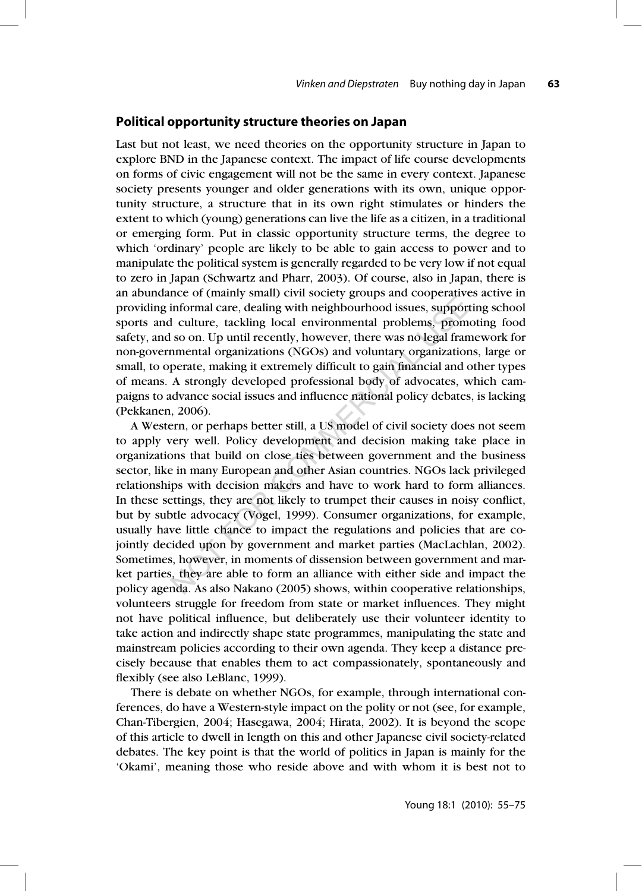## **Political opportunity structure theories on Japan**

Last but not least, we need theories on the opportunity structure in Japan to explore BND in the Japanese context. The impact of life course developments on forms of civic engagement will not be the same in every context. Japanese society presents younger and older generations with its own, unique opportunity structure, a structure that in its own right stimulates or hinders the extent to which (young) generations can live the life as a citizen, in a traditional or emerging form. Put in classic opportunity structure terms, the degree to which 'ordinary' people are likely to be able to gain access to power and to manipulate the political system is generally regarded to be very low if not equal to zero in Japan (Schwartz and Pharr, 2003). Of course, also in Japan, there is an abundance of (mainly small) civil society groups and cooperatives active in providing informal care, dealing with neighbourhood issues, supporting school sports and culture, tackling local environmental problems, promoting food safety, and so on. Up until recently, however, there was no legal framework for non-governmental organizations (NGOs) and voluntary organizations, large or small, to operate, making it extremely difficult to gain financial and other types of means. A strongly developed professional body of advocates, which campaigns to advance social issues and influence national policy debates, is lacking (Pekkanen, 2006).

Example of many daming of the subsety gively and exo-<br>informal care, dealing with neighbourhood issues, support<br>1 culture, tackling local environmental problems, prome<br>10 culture, tackling local environmental problems, pro A Western, or perhaps better still, a US model of civil society does not seem to apply very well. Policy development and decision making take place in organizations that build on close ties between government and the business sector, like in many European and other Asian countries. NGOs lack privileged relationships with decision makers and have to work hard to form alliances. In these settings, they are not likely to trumpet their causes in noisy conflict, but by subtle advocacy (Vogel, 1999). Consumer organizations, for example, usually have little chance to impact the regulations and policies that are cojointly decided upon by government and market parties (MacLachlan, 2002). Sometimes, however, in moments of dissension between government and market parties, they are able to form an alliance with either side and impact the policy agenda. As also Nakano (2005) shows, within cooperative relationships, volunteers struggle for freedom from state or market influences. They might not have political influence, but deliberately use their volunteer identity to take action and indirectly shape state programmes, manipulating the state and mainstream policies according to their own agenda. They keep a distance precisely because that enables them to act compassionately, spontaneously and flexibly (see also LeBlanc, 1999).

There is debate on whether NGOs, for example, through international conferences, do have a Western-style impact on the polity or not (see, for example, Chan-Tibergien, 2004; Hasegawa, 2004; Hirata, 2002). It is beyond the scope of this article to dwell in length on this and other Japanese civil society-related debates. The key point is that the world of politics in Japan is mainly for the 'Okami', meaning those who reside above and with whom it is best not to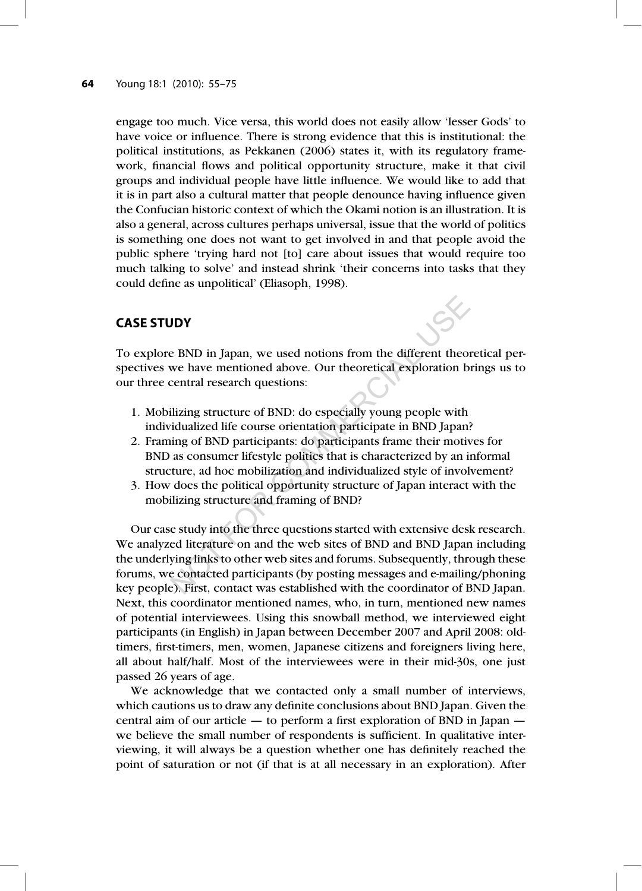engage too much. Vice versa, this world does not easily allow 'lesser Gods' to have voice or influence. There is strong evidence that this is institutional: the political institutions, as Pekkanen (2006) states it, with its regulatory framework, financial flows and political opportunity structure, make it that civil groups and individual people have little influence. We would like to add that it is in part also a cultural matter that people denounce having influence given the Confucian historic context of which the Okami notion is an illustration. It is also a general, across cultures perhaps universal, issue that the world of politics is something one does not want to get involved in and that people avoid the public sphere 'trying hard not [to] care about issues that would require too much talking to solve' and instead shrink 'their concerns into tasks that they could define as unpolitical' (Eliasoph, 1998).

### **CASE STUDY**

To explore BND in Japan, we used notions from the different theoretical perspectives we have mentioned above. Our theoretical exploration brings us to our three central research questions:

- 1. Mobilizing structure of BND: do especially young people with individualized life course orientation participate in BND Japan?
- 2. Framing of BND participants: do participants frame their motives for BND as consumer lifestyle politics that is characterized by an informal structure, ad hoc mobilization and individualized style of involvement?
- 3. How does the political opportunity structure of Japan interact with the mobilizing structure and framing of BND?

**JDY**<br>
E BND in Japan, we used notions from the different theorem<br>
we have mentioned above. Our theoretical exploration b<br>
central research questions:<br>
ilizing structure of BND: do especially young people with<br>
idualized l Our case study into the three questions started with extensive desk research. We analyzed literature on and the web sites of BND and BND Japan including the underlying links to other web sites and forums. Subsequently, through these forums, we contacted participants (by posting messages and e-mailing/phoning key people). First, contact was established with the coordinator of BND Japan. Next, this coordinator mentioned names, who, in turn, mentioned new names of potential interviewees. Using this snowball method, we interviewed eight participants (in English) in Japan between December 2007 and April 2008: oldtimers, first-timers, men, women, Japanese citizens and foreigners living here, all about half/half. Most of the interviewees were in their mid-30s, one just passed 26 years of age.

We acknowledge that we contacted only a small number of interviews, which cautions us to draw any definite conclusions about BND Japan. Given the central aim of our article  $-$  to perform a first exploration of BND in Japan  $$ we believe the small number of respondents is sufficient. In qualitative interviewing, it will always be a question whether one has definitely reached the point of saturation or not (if that is at all necessary in an exploration). After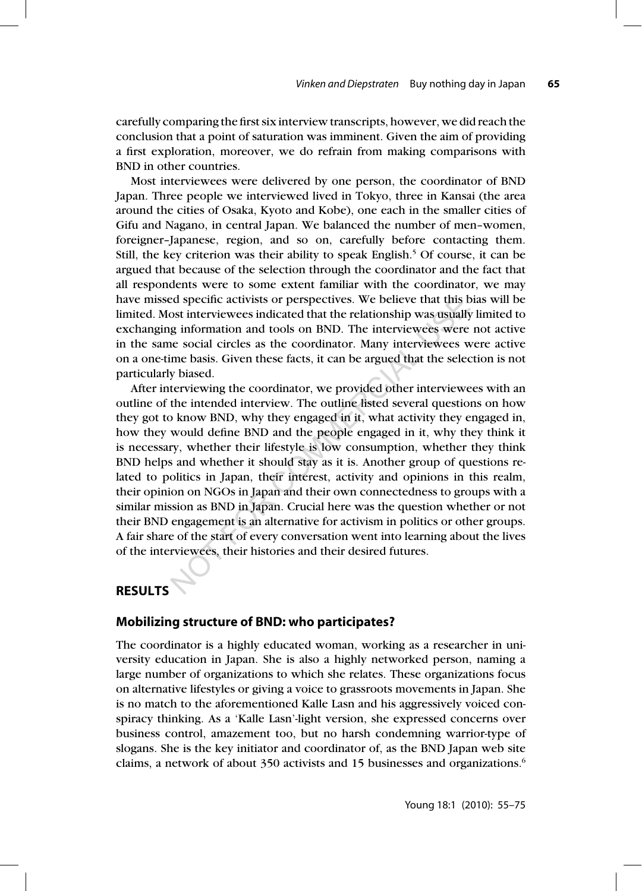carefully comparing the first six interview transcripts, however, we did reach the conclusion that a point of saturation was imminent. Given the aim of providing a first exploration, moreover, we do refrain from making comparisons with BND in other countries.

Most interviewees were delivered by one person, the coordinator of BND Japan. Three people we interviewed lived in Tokyo, three in Kansai (the area around the cities of Osaka, Kyoto and Kobe), one each in the smaller cities of Gifu and Nagano, in central Japan. We balanced the number of men–women, foreigner–Japanese, region, and so on, carefully before contacting them. Still, the key criterion was their ability to speak English.<sup>5</sup> Of course, it can be argued that because of the selection through the coordinator and the fact that all respondents were to some extent familiar with the coordinator, we may have missed specific activists or perspectives. We believe that this bias will be limited. Most interviewees indicated that the relationship was usually limited to exchanging information and tools on BND. The interviewees were not active in the same social circles as the coordinator. Many interviewees were active on a one-time basis. Given these facts, it can be argued that the selection is not particularly biased.

ed specific activists or perspectives. We believe that this bost interviewees indicated that the relationship was usually g information and tools on BND. The interviewees were e social circles as the coordinator. Many inte After interviewing the coordinator, we provided other interviewees with an outline of the intended interview. The outline listed several questions on how they got to know BND, why they engaged in it, what activity they engaged in, how they would define BND and the people engaged in it, why they think it is necessary, whether their lifestyle is low consumption, whether they think BND helps and whether it should stay as it is. Another group of questions related to politics in Japan, their interest, activity and opinions in this realm, their opinion on NGOs in Japan and their own connectedness to groups with a similar mission as BND in Japan. Crucial here was the question whether or not their BND engagement is an alternative for activism in politics or other groups. A fair share of the start of every conversation went into learning about the lives of the interviewees, their histories and their desired futures.

# **RESULTS**

#### **Mobilizing structure of BND: who participates?**

The coordinator is a highly educated woman, working as a researcher in university education in Japan. She is also a highly networked person, naming a large number of organizations to which she relates. These organizations focus on alternative lifestyles or giving a voice to grassroots movements in Japan. She is no match to the aforementioned Kalle Lasn and his aggressively voiced conspiracy thinking. As a 'Kalle Lasn'-light version, she expressed concerns over business control, amazement too, but no harsh condemning warrior-type of slogans. She is the key initiator and coordinator of, as the BND Japan web site claims, a network of about 350 activists and 15 businesses and organizations.<sup>6</sup>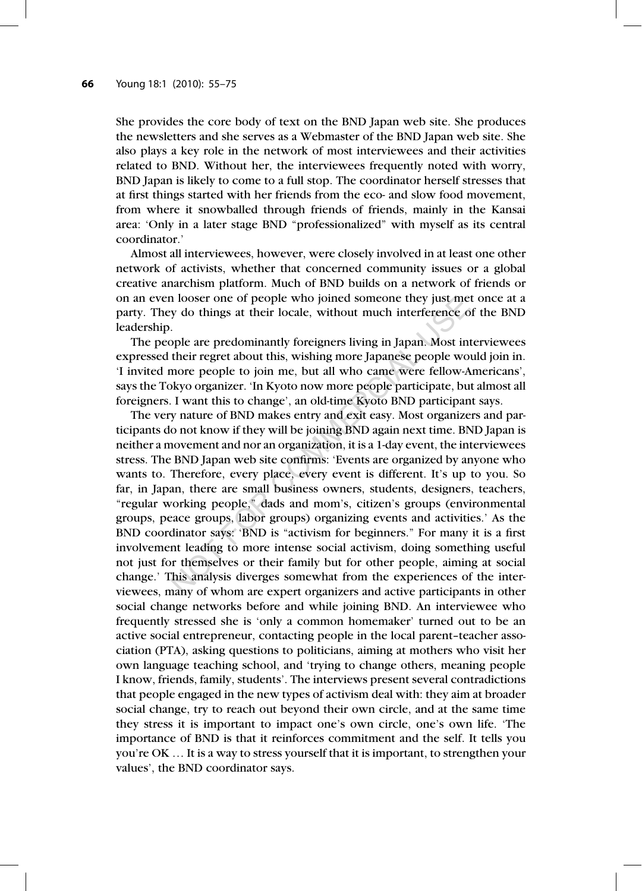She provides the core body of text on the BND Japan web site. She produces the newsletters and she serves as a Webmaster of the BND Japan web site. She also plays a key role in the network of most interviewees and their activities related to BND. Without her, the interviewees frequently noted with worry, BND Japan is likely to come to a full stop. The coordinator herself stresses that at first things started with her friends from the eco- and slow food movement, from where it snowballed through friends of friends, mainly in the Kansai area: 'Only in a later stage BND "professionalized" with myself as its central coordinator.'

Almost all interviewees, however, were closely involved in at least one other network of activists, whether that concerned community issues or a global creative anarchism platform. Much of BND builds on a network of friends or on an even looser one of people who joined someone they just met once at a party. They do things at their locale, without much interference of the BND leadership.

The people are predominantly foreigners living in Japan. Most interviewees expressed their regret about this, wishing more Japanese people would join in. 'I invited more people to join me, but all who came were fellow-Americans', says the Tokyo organizer. 'In Kyoto now more people participate, but almost all foreigners. I want this to change', an old-time Kyoto BND participant says.

The solution of people who joined someone they just me<br>y do things at their locale, without much interference of<br>pple are predominantly foreigners living in Japan. Most int<br>their regret about this, wishing more Japanese pe The very nature of BND makes entry and exit easy. Most organizers and participants do not know if they will be joining BND again next time. BND Japan is neither a movement and nor an organization, it is a 1-day event, the interviewees stress. The BND Japan web site confirms: 'Events are organized by anyone who wants to. Therefore, every place, every event is different. It's up to you. So far, in Japan, there are small business owners, students, designers, teachers, "regular working people," dads and mom's, citizen's groups (environmental groups, peace groups, labor groups) organizing events and activities.' As the BND coordinator says: 'BND is "activism for beginners." For many it is a first involvement leading to more intense social activism, doing something useful not just for themselves or their family but for other people, aiming at social change.' This analysis diverges somewhat from the experiences of the interviewees, many of whom are expert organizers and active participants in other social change networks before and while joining BND. An interviewee who frequently stressed she is 'only a common homemaker' turned out to be an active social entrepreneur, contacting people in the local parent–teacher association (PTA), asking questions to politicians, aiming at mothers who visit her own language teaching school, and 'trying to change others, meaning people I know, friends, family, students'. The interviews present several contradictions that people engaged in the new types of activism deal with: they aim at broader social change, try to reach out beyond their own circle, and at the same time they stress it is important to impact one's own circle, one's own life. 'The importance of BND is that it reinforces commitment and the self. It tells you you're OK … It is a way to stress yourself that it is important, to strengthen your values', the BND coordinator says.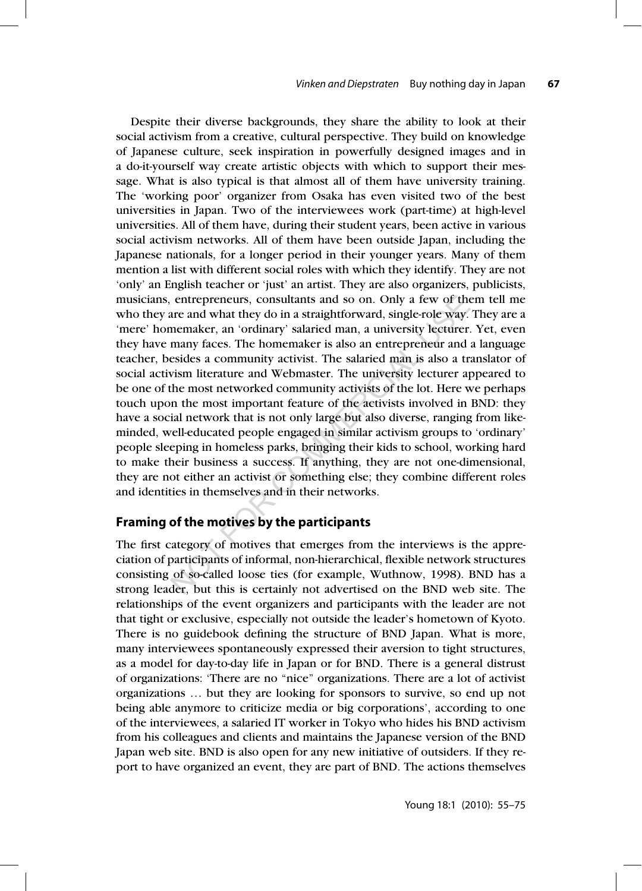entrepreneurs, consultants and so on. Only a few of the<br>are and what they do in a straightforward, single-role way.<br>memaker, an 'ordinary' salaried man, a university lecturer.<br>many faces. The homemaker is also an entrepren Despite their diverse backgrounds, they share the ability to look at their social activism from a creative, cultural perspective. They build on knowledge of Japanese culture, seek inspiration in powerfully designed images and in a do-it-yourself way create artistic objects with which to support their message. What is also typical is that almost all of them have university training. The 'working poor' organizer from Osaka has even visited two of the best universities in Japan. Two of the interviewees work (part-time) at high-level universities. All of them have, during their student years, been active in various social activism networks. All of them have been outside Japan, including the Japanese nationals, for a longer period in their younger years. Many of them mention a list with different social roles with which they identify. They are not 'only' an English teacher or 'just' an artist. They are also organizers, publicists, musicians, entrepreneurs, consultants and so on. Only a few of them tell me who they are and what they do in a straightforward, single-role way. They are a 'mere' homemaker, an 'ordinary' salaried man, a university lecturer. Yet, even they have many faces. The homemaker is also an entrepreneur and a language teacher, besides a community activist. The salaried man is also a translator of social activism literature and Webmaster. The university lecturer appeared to be one of the most networked community activists of the lot. Here we perhaps touch upon the most important feature of the activists involved in BND: they have a social network that is not only large but also diverse, ranging from likeminded, well-educated people engaged in similar activism groups to 'ordinary' people sleeping in homeless parks, bringing their kids to school, working hard to make their business a success. If anything, they are not one-dimensional, they are not either an activist or something else; they combine different roles and identities in themselves and in their networks.

# **Framing of the motives by the participants**

The first category of motives that emerges from the interviews is the appreciation of participants of informal, non-hierarchical, flexible network structures consisting of so-called loose ties (for example, Wuthnow, 1998). BND has a strong leader, but this is certainly not advertised on the BND web site. The relationships of the event organizers and participants with the leader are not that tight or exclusive, especially not outside the leader's hometown of Kyoto. There is no guidebook defining the structure of BND Japan. What is more, many interviewees spontaneously expressed their aversion to tight structures, as a model for day-to-day life in Japan or for BND. There is a general distrust of organizations: 'There are no "nice" organizations. There are a lot of activist organizations … but they are looking for sponsors to survive, so end up not being able anymore to criticize media or big corporations', according to one of the interviewees, a salaried IT worker in Tokyo who hides his BND activism from his colleagues and clients and maintains the Japanese version of the BND Japan web site. BND is also open for any new initiative of outsiders. If they report to have organized an event, they are part of BND. The actions themselves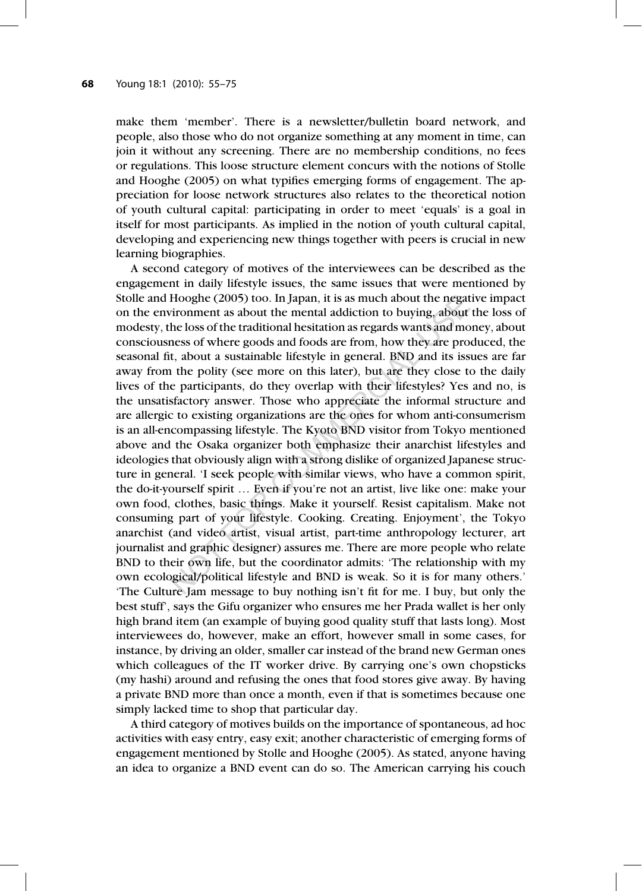make them 'member'. There is a newsletter/bulletin board network, and people, also those who do not organize something at any moment in time, can join it without any screening. There are no membership conditions, no fees or regulations. This loose structure element concurs with the notions of Stolle and Hooghe  $(2005)$  on what typifies emerging forms of engagement. The appreciation for loose network structures also relates to the theoretical notion of youth cultural capital: participating in order to meet 'equals' is a goal in itself for most participants. As implied in the notion of youth cultural capital, developing and experiencing new things together with peers is crucial in new learning biographies.

Hooghe (2005) too. In Japan, it is as much about the negat<br>vironment as about the mental addiction to buying, about<br>he loss of the traditional hesitation as regards wants and mo<br>ess of where goods and foods are from, how t A second category of motives of the interviewees can be described as the engagement in daily lifestyle issues, the same issues that were mentioned by Stolle and Hooghe (2005) too. In Japan, it is as much about the negative impact on the environment as about the mental addiction to buying, about the loss of modesty, the loss of the traditional hesitation as regards wants and money, about consciousness of where goods and foods are from, how they are produced, the seasonal fit, about a sustainable lifestyle in general. BND and its issues are far away from the polity (see more on this later), but are they close to the daily lives of the participants, do they overlap with their lifestyles? Yes and no, is the unsatisfactory answer. Those who appreciate the informal structure and are allergic to existing organizations are the ones for whom anti-consumerism is an all-encompassing lifestyle. The Kyoto BND visitor from Tokyo mentioned above and the Osaka organizer both emphasize their anarchist lifestyles and ideologies that obviously align with a strong dislike of organized Japanese structure in general. 'I seek people with similar views, who have a common spirit, the do-it-yourself spirit … Even if you're not an artist, live like one: make your own food, clothes, basic things. Make it yourself. Resist capitalism. Make not consuming part of your lifestyle. Cooking. Creating. Enjoyment', the Tokyo anarchist (and video artist, visual artist, part-time anthropology lecturer, art journalist and graphic designer) assures me. There are more people who relate BND to their own life, but the coordinator admits: 'The relationship with my own ecological/political lifestyle and BND is weak. So it is for many others.' 'The Culture Jam message to buy nothing isn't fit for me. I buy, but only the best stuff', says the Gifu organizer who ensures me her Prada wallet is her only high brand item (an example of buying good quality stuff that lasts long). Most interviewees do, however, make an effort, however small in some cases, for instance, by driving an older, smaller car instead of the brand new German ones which colleagues of the IT worker drive. By carrying one's own chopsticks (my hashi) around and refusing the ones that food stores give away. By having a private BND more than once a month, even if that is sometimes because one simply lacked time to shop that particular day.

A third category of motives builds on the importance of spontaneous, ad hoc activities with easy entry, easy exit; another characteristic of emerging forms of engagement mentioned by Stolle and Hooghe (2005). As stated, anyone having an idea to organize a BND event can do so. The American carrying his couch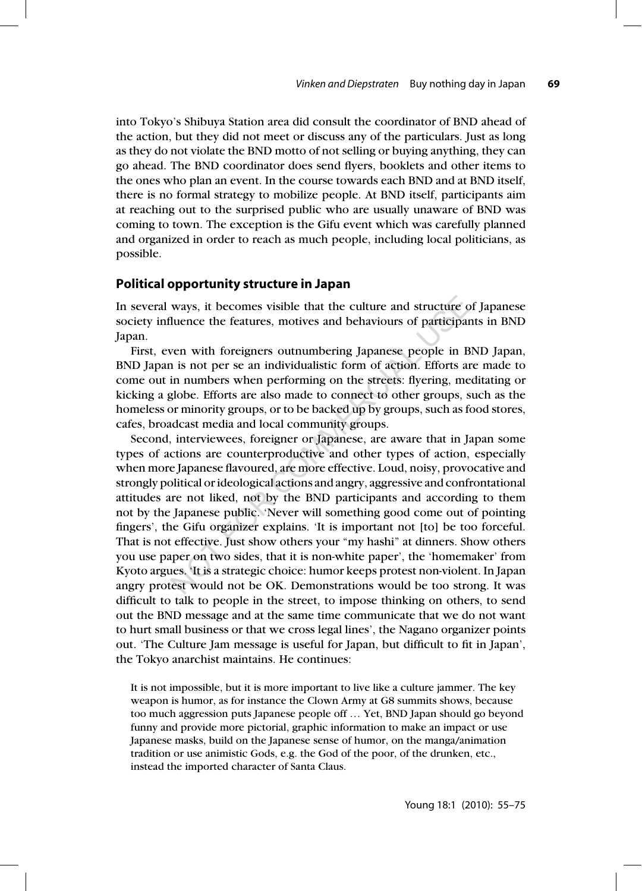into Tokyo's Shibuya Station area did consult the coordinator of BND ahead of the action, but they did not meet or discuss any of the particulars. Just as long as they do not violate the BND motto of not selling or buying anything, they can go ahead. The BND coordinator does send flyers, booklets and other items to the ones who plan an event. In the course towards each BND and at BND itself, there is no formal strategy to mobilize people. At BND itself, participants aim at reaching out to the surprised public who are usually unaware of BND was coming to town. The exception is the Gifu event which was carefully planned and organized in order to reach as much people, including local politicians, as possible.

## **Political opportunity structure in Japan**

In several ways, it becomes visible that the culture and structure of Japanese society influence the features, motives and behaviours of participants in BND Japan.

First, even with foreigners outnumbering Japanese people in BND Japan, BND Japan is not per se an individualistic form of action. Efforts are made to come out in numbers when performing on the streets: flyering, meditating or kicking a globe. Efforts are also made to connect to other groups, such as the homeless or minority groups, or to be backed up by groups, such as food stores, cafes, broadcast media and local community groups.

ways, it becomes visible that the culture and structure of pluence the features, motives and behaviours of participar<br>ven with foreigners outnumbering Japanese people in B<br>is not per se an individualistic form of action. E Second, interviewees, foreigner or Japanese, are aware that in Japan some types of actions are counterproductive and other types of action, especially when more Japanese flavoured, are more effective. Loud, noisy, provocative and strongly political or ideological actions and angry, aggressive and confrontational attitudes are not liked, not by the BND participants and according to them not by the Japanese public. 'Never will something good come out of pointing fingers', the Gifu organizer explains. 'It is important not [to] be too forceful. That is not effective. Just show others your "my hashi" at dinners. Show others you use paper on two sides, that it is non-white paper', the 'homemaker' from Kyoto argues. 'It is a strategic choice: humor keeps protest non-violent. In Japan angry protest would not be OK. Demonstrations would be too strong. It was difficult to talk to people in the street, to impose thinking on others, to send out the BND message and at the same time communicate that we do not want to hurt small business or that we cross legal lines', the Nagano organizer points out. 'The Culture Jam message is useful for Japan, but difficult to fit in Japan', the Tokyo anarchist maintains. He continues:

It is not impossible, but it is more important to live like a culture jammer. The key weapon is humor, as for instance the Clown Army at G8 summits shows, because too much aggression puts Japanese people off … Yet, BND Japan should go beyond funny and provide more pictorial, graphic information to make an impact or use Japanese masks, build on the Japanese sense of humor, on the manga/animation tradition or use animistic Gods, e.g. the God of the poor, of the drunken, etc., instead the imported character of Santa Claus.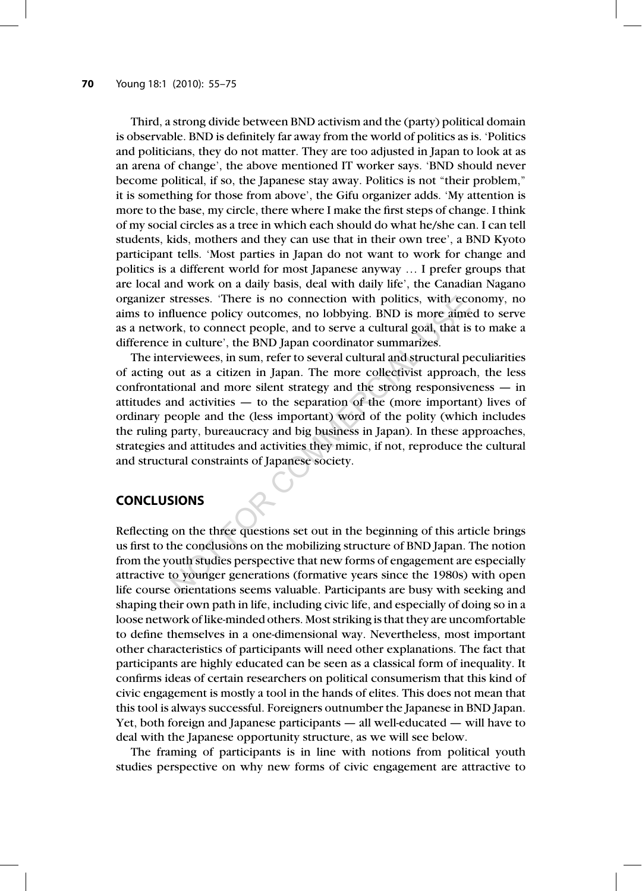Third, a strong divide between BND activism and the (party) political domain is observable. BND is definitely far away from the world of politics as is. 'Politics and politicians, they do not matter. They are too adjusted in Japan to look at as an arena of change', the above mentioned IT worker says. 'BND should never become political, if so, the Japanese stay away. Politics is not "their problem," it is something for those from above', the Gifu organizer adds. 'My attention is more to the base, my circle, there where I make the first steps of change. I think of my social circles as a tree in which each should do what he/she can. I can tell students, kids, mothers and they can use that in their own tree', a BND Kyoto participant tells. 'Most parties in Japan do not want to work for change and politics is a different world for most Japanese anyway … I prefer groups that are local and work on a daily basis, deal with daily life', the Canadian Nagano organizer stresses. 'There is no connection with politics, with economy, no aims to influence policy outcomes, no lobbying. BND is more aimed to serve as a network, to connect people, and to serve a cultural goal, that is to make a difference in culture', the BND Japan coordinator summarizes.

stresses. There is no connection with politics, with ecclustresses. There is no connection with politics, with ecclustrations and the simulations in culture', the BND Japan coordinator summarizes.<br>
Eviewees, in sum, refer The interviewees, in sum, refer to several cultural and structural peculiarities of acting out as a citizen in Japan. The more collectivist approach, the less confrontational and more silent strategy and the strong responsiveness — in attitudes and activities — to the separation of the (more important) lives of ordinary people and the (less important) word of the polity (which includes the ruling party, bureaucracy and big business in Japan). In these approaches, strategies and attitudes and activities they mimic, if not, reproduce the cultural and structural constraints of Japanese society.

## **CONCLUSIONS**

Reflecting on the three questions set out in the beginning of this article brings us first to the conclusions on the mobilizing structure of BND Japan. The notion from the youth studies perspective that new forms of engagement are especially attractive to younger generations (formative years since the 1980s) with open life course orientations seems valuable. Participants are busy with seeking and shaping their own path in life, including civic life, and especially of doing so in a loose network of like-minded others. Most striking is that they are uncomfortable to define themselves in a one-dimensional way. Nevertheless, most important other characteristics of participants will need other explanations. The fact that participants are highly educated can be seen as a classical form of inequality. It confirms ideas of certain researchers on political consumerism that this kind of civic engagement is mostly a tool in the hands of elites. This does not mean that this tool is always successful. Foreigners outnumber the Japanese in BND Japan. Yet, both foreign and Japanese participants — all well-educated — will have to deal with the Japanese opportunity structure, as we will see below.

The framing of participants is in line with notions from political youth studies perspective on why new forms of civic engagement are attractive to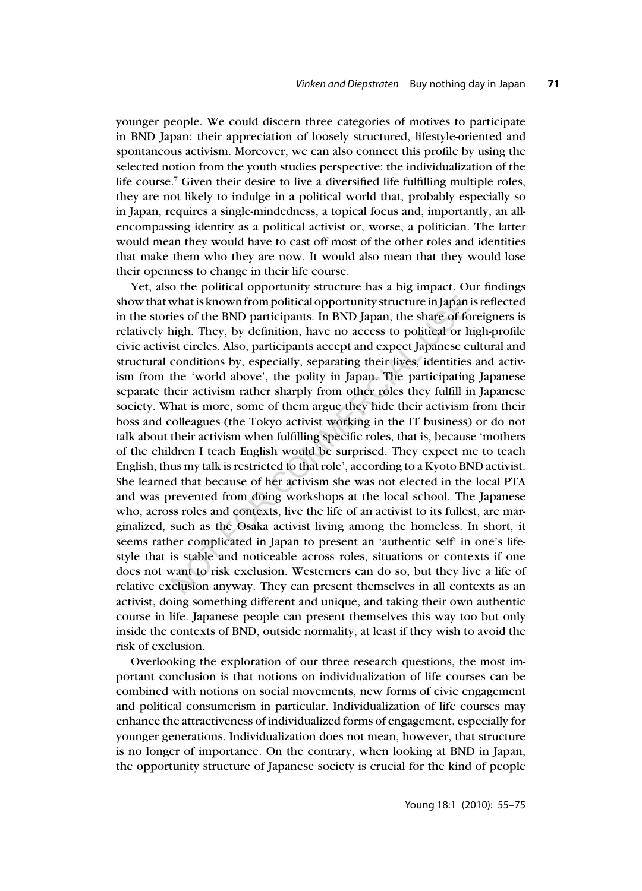younger people. We could discern three categories of motives to participate in BND Japan: their appreciation of loosely structured, lifestyle-oriented and spontaneous activism. Moreover, we can also connect this profile by using the selected notion from the youth studies perspective: the individualization of the life course.<sup>7</sup> Given their desire to live a diversified life fulfilling multiple roles, they are not likely to indulge in a political world that, probably especially so in Japan, requires a single-mindedness, a topical focus and, importantly, an allencompassing identity as a political activist or, worse, a politician. The latter would mean they would have to cast off most of the other roles and identities that make them who they are now. It would also mean that they would lose their openness to change in their life course.

what is known from political opportunity structure in Japan<br>ies of the BND participants. In BND Japan, the share of fo<br>nigh. They, by definition, have no access to political or h<br>sit circles. Also, participants accept and Yet, also the political opportunity structure has a big impact. Our findings show that what is known from political opportunity structure in Japan is reflected in the stories of the BND participants. In BND Japan, the share of foreigners is relatively high. They, by definition, have no access to political or high-profile civic activist circles. Also, participants accept and expect Japanese cultural and structural conditions by, especially, separating their lives, identities and activism from the 'world above', the polity in Japan. The participating Japanese separate their activism rather sharply from other roles they fulfill in Japanese society. What is more, some of them argue they hide their activism from their boss and colleagues (the Tokyo activist working in the IT business) or do not talk about their activism when fulfilling specific roles, that is, because 'mothers of the children I teach English would be surprised. They expect me to teach English, thus my talk is restricted to that role', according to a Kyoto BND activist. She learned that because of her activism she was not elected in the local PTA and was prevented from doing workshops at the local school. The Japanese who, across roles and contexts, live the life of an activist to its fullest, are marginalized, such as the Osaka activist living among the homeless. In short, it seems rather complicated in Japan to present an 'authentic self' in one's lifestyle that is stable and noticeable across roles, situations or contexts if one does not want to risk exclusion. Westerners can do so, but they live a life of relative exclusion anyway. They can present themselves in all contexts as an activist, doing something different and unique, and taking their own authentic course in life. Japanese people can present themselves this way too but only inside the contexts of BND, outside normality, at least if they wish to avoid the risk of exclusion.

Overlooking the exploration of our three research questions, the most important conclusion is that notions on individualization of life courses can be combined with notions on social movements, new forms of civic engagement and political consumerism in particular. Individualization of life courses may enhance the attractiveness of individualized forms of engagement, especially for younger generations. Individualization does not mean, however, that structure is no longer of importance. On the contrary, when looking at BND in Japan, the opportunity structure of Japanese society is crucial for the kind of people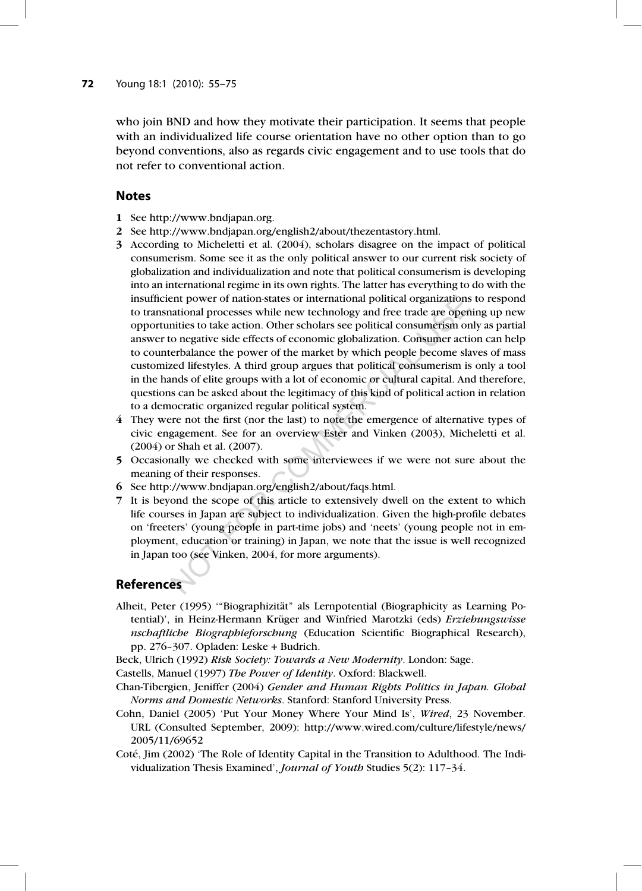#### **72** Young 18:1 (2010): 55–75

who join BND and how they motivate their participation. It seems that people with an individualized life course orientation have no other option than to go beyond conventions, also as regards civic engagement and to use tools that do not refer to conventional action.

# **Notes**

- **1** See http://www.bndjapan.org.
- **2** See http://www.bndjapan.org/english2/about/thezentastory.html.
- ent power of nation-states or international political organizations<br>attional processes while new technology and free trade are open<br>intities to take action. Other scholars see political consumerism or<br>o negative side effec **3** According to Micheletti et al. (2004), scholars disagree on the impact of political consumerism. Some see it as the only political answer to our current risk society of globalization and individualization and note that political consumerism is developing into an international regime in its own rights. The latter has everything to do with the insufficient power of nation-states or international political organizations to respond to transnational processes while new technology and free trade are opening up new opportunities to take action. Other scholars see political consumerism only as partial answer to negative side effects of economic globalization. Consumer action can help to counterbalance the power of the market by which people become slaves of mass customized lifestyles. A third group argues that political consumerism is only a tool in the hands of elite groups with a lot of economic or cultural capital. And therefore, questions can be asked about the legitimacy of this kind of political action in relation to a democratic organized regular political system.
- **4** They were not the first (nor the last) to note the emergence of alternative types of civic engagement. See for an overview Ester and Vinken (2003), Micheletti et al. (2004) or Shah et al. (2007).
- **5** Occasionally we checked with some interviewees if we were not sure about the meaning of their responses.
- **6** See http://www.bndjapan.org/english2/about/faqs.html.
- **7** It is beyond the scope of this article to extensively dwell on the extent to which life courses in Japan are subject to individualization. Given the high-profile debates on 'freeters' (young people in part-time jobs) and 'neets' (young people not in employment, education or training) in Japan, we note that the issue is well recognized in Japan too (see Vinken, 2004, for more arguments).

## **References**

Alheit, Peter (1995) '"Biographizität" als Lernpotential (Biographicity as Learning Potential)', in Heinz-Hermann Krüger and Winfried Marotzki (eds) *Erziehungswisse nschaftliche Biographieforschung* (Education Scientific Biographical Research), pp. 276–307. Opladen: Leske + Budrich.

Beck, Ulrich (1992) *Risk Society: Towards a New Modernity*. London: Sage.

Castells, Manuel (1997) *The Power of Identity*. Oxford: Blackwell.

- Chan-Tibergien, Jeniffer (2004) *Gender and Human Rights Politics in Japan. Global Norms and Domestic Networks*. Stanford: Stanford University Press.
- Cohn, Daniel (2005) 'Put Your Money Where Your Mind Is', *Wired*, 23 November. URL (Consulted September, 2009): http://www.wired.com/culture/lifestyle/news/ 2005/11/69652
- Coté, Jim (2002) 'The Role of Identity Capital in the Transition to Adulthood. The Individualization Thesis Examined', *Journal of Youth* Studies 5(2): 117–34.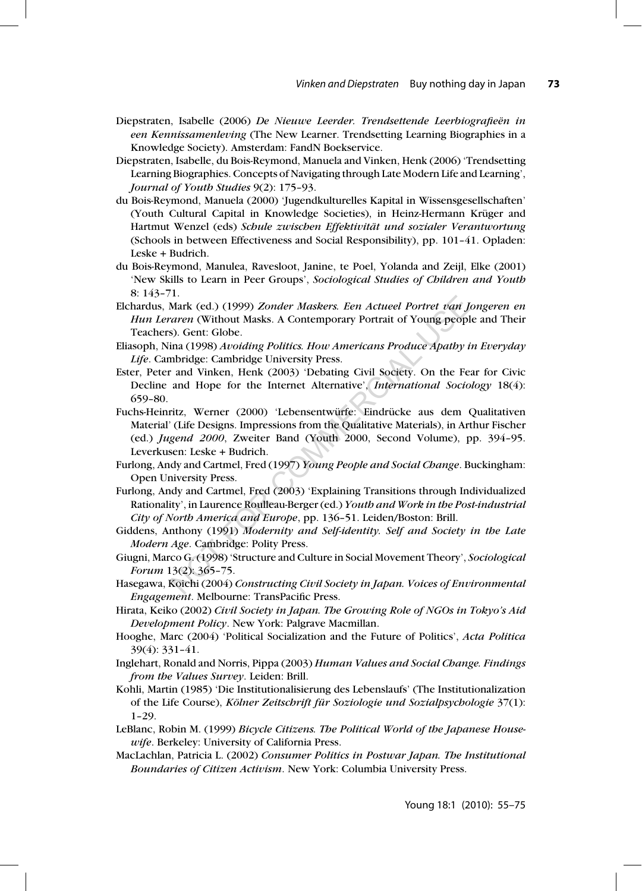- Diepstraten, Isabelle (2006) *De Nieuwe Leerder. Trendsettende Leerbiografieën in een Kennissamenleving* (The New Learner. Trendsetting Learning Biographies in a Knowledge Society). Amsterdam: FandN Boekservice.
- Diepstraten, Isabelle, du Bois-Reymond, Manuela and Vinken, Henk (2006) 'Trendsetting Learning Biographies. Concepts of Navigating through Late Modern Life and Learning', *Journal of Youth Studies* 9(2): 175–93.
- du Bois-Reymond, Manuela (2000) 'Jugendkulturelles Kapital in Wissensgesellschaften' (Youth Cultural Capital in Knowledge Societies), in Heinz-Hermann Krüger and Hartmut Wenzel (eds) *Schule zwischen Effektivität und sozialer Verantwortung*  (Schools in between Effectiveness and Social Responsibility), pp. 101–41. Opladen: Leske + Budrich.
- du Bois-Reymond, Manulea, Ravesloot, Janine, te Poel, Yolanda and Zeijl, Elke (2001) 'New Skills to Learn in Peer Groups', *Sociological Studies of Children and Youth* 8: 143–71.
- Elchardus, Mark (ed.) (1999) *Zonder Maskers. Een Actueel Portret van Jongeren en Hun Leraren* (Without Masks. A Contemporary Portrait of Young people and Their Teachers). Gent: Globe.
- Eliasoph, Nina (1998) *Avoiding Politics. How Americans Produce Apathy in Everyday Life*. Cambridge: Cambridge University Press.
- Ester, Peter and Vinken, Henk (2003) 'Debating Civil Society. On the Fear for Civic Decline and Hope for the Internet Alternative', *International Sociology* 18(4): 659–80.
- The Mark (ed.) (1999) *Zonder Maskers. Een Actueel Portret van J*<br> *Xaren* (Without Masks. A Contemporary Portrait of Young peoply). Gent: Globe.<br>
Ina (1998) *Avoiding Politics. How Americans Produce Apathy i*<br>
bibridge: C Fuchs-Heinritz, Werner (2000) 'Lebensentwürfe: Eindrücke aus dem Qualitativen Material' (Life Designs. Impressions from the Qualitative Materials), in Arthur Fischer (ed.) *Jugend 2000*, Zweiter Band (Youth 2000, Second Volume), pp. 394–95. Leverkusen: Leske + Budrich.
- Furlong, Andy and Cartmel, Fred (1997) *Young People and Social Change*. Buckingham: Open University Press.
- Furlong, Andy and Cartmel, Fred (2003) 'Explaining Transitions through Individualized Rationality', in Laurence Roulleau-Berger (ed.) *Youth and Work in the Post-industrial City of North America and Europe*, pp. 136–51. Leiden/Boston: Brill.
- Giddens, Anthony (1991) *Modernity and Self-identity. Self and Society in the Late Modern Age*. Cambridge: Polity Press.
- Giugni, Marco G. (1998) 'Structure and Culture in Social Movement Theory', *Sociological Forum* 13(2): 365–75.
- Hasegawa, Koichi (2004) *Constructing Civil Society in Japan. Voices of Environmental Engagement*. Melbourne: TransPacific Press.
- Hirata, Keiko (2002) *Civil Society in Japan. The Growing Role of NGOs in Tokyo's Aid Development Policy*. New York: Palgrave Macmillan.
- Hooghe, Marc (2004) 'Political Socialization and the Future of Politics', *Acta Politica* 39(4): 331–41.
- Inglehart, Ronald and Norris, Pippa (2003) *Human Values and Social Change. Findings from the Values Survey*. Leiden: Brill.
- Kohli, Martin (1985) 'Die Institutionalisierung des Lebenslaufs' (The Institutionalization of the Life Course), *Kölner Zeitschrift für Soziologie und Sozialpsychologie* 37(1): 1–29.
- LeBlanc, Robin M. (1999) *Bicycle Citizens. The Political World of the Japanese Housewife*. Berkeley: University of California Press.
- MacLachlan, Patricia L. (2002) *Consumer Politics in Postwar Japan. The Institutional Boundaries of Citizen Activism*. New York: Columbia University Press.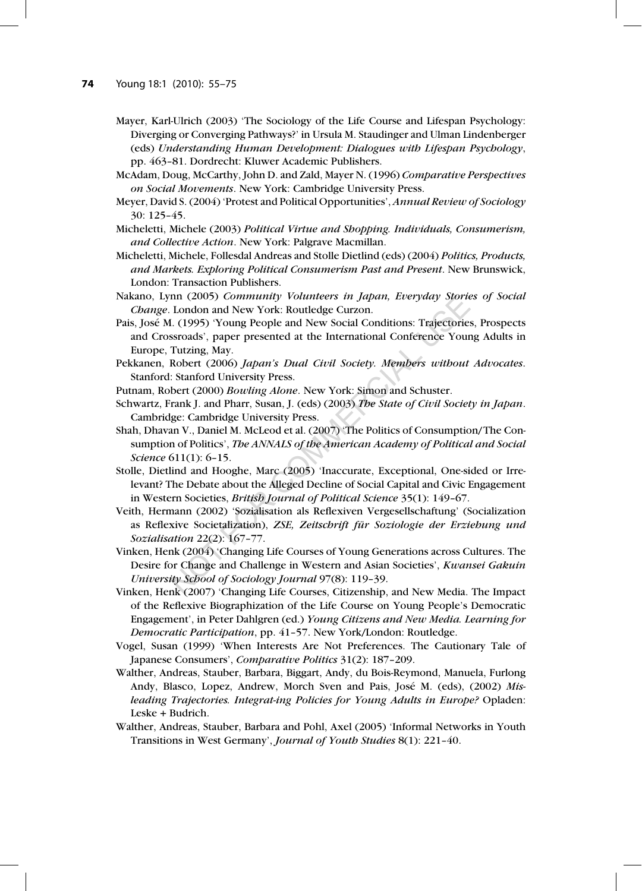- **74** Young 18:1 (2010): 55–75
	- Mayer, Karl-Ulrich (2003) 'The Sociology of the Life Course and Lifespan Psychology: Diverging or Converging Pathways?' in Ursula M. Staudinger and Ulman Lindenberger (eds) *Understanding Human Development: Dialogues with Lifespan Psychology*, pp. 463–81. Dordrecht: Kluwer Academic Publishers.
	- McAdam, Doug, McCarthy, John D. and Zald, Mayer N. (1996) *Comparative Perspectives on Social Movements*. New York: Cambridge University Press.
	- Meyer, David S. (2004) 'Protest and Political Opportunities', *Annual Review of Sociology* 30: 125–45.
	- Micheletti, Michele (2003) *Political Virtue and Shopping. Individuals, Consumerism, and Collective Action*. New York: Palgrave Macmillan.
	- Micheletti, Michele, Follesdal Andreas and Stolle Dietlind (eds) (2004) *Politics, Products, and Markets. Exploring Political Consumerism Past and Present*. New Brunswick, London: Transaction Publishers.
	- Nakano, Lynn (2005) *Community Volunteers in Japan, Everyday Stories of Social Change*. London and New York: Routledge Curzon.
	- nn (2005) Community Vouinteers in Japan, Everyaay Stories<br>
	London and New York: Routledge Curzon.<br>
	London and New Social Conditions: Trajectories<br>
	strokes (1995) 'Young People and New Social Conditions: Trajectories<br>
	Tutzi Pais, José M. (1995) 'Young People and New Social Conditions: Trajectories, Prospects and Crossroads', paper presented at the International Conference Young Adults in Europe, Tutzing, May.
	- Pekkanen, Robert (2006) *Japan's Dual Civil Society. Members without Advocates*. Stanford: Stanford University Press.
	- Putnam, Robert (2000) *Bowling Alone*. New York: Simon and Schuster.
	- Schwartz, Frank J. and Pharr, Susan, J. (eds) (2003) *The State of Civil Society in Japan*. Cambridge: Cambridge University Press.
	- Shah, Dhavan V., Daniel M. McLeod et al. (2007) 'The Politics of Consumption/The Consumption of Politics', *The ANNALS of the American Academy of Political and Social Science* 611(1): 6–15.
	- Stolle, Dietlind and Hooghe, Marc (2005) 'Inaccurate, Exceptional, One-sided or Irrelevant? The Debate about the Alleged Decline of Social Capital and Civic Engagement in Western Societies, *British Journal of Political Science* 35(1): 149–67.
	- Veith, Hermann (2002) 'Sozialisation als Reflexiven Vergesellschaftung' (Socialization as Reflexive Societalization), *ZSE, Zeitschrift für Soziologie der Erziehung und Sozialisation* 22(2): 167–77.
	- Vinken, Henk (2004) 'Changing Life Courses of Young Generations across Cultures. The Desire for Change and Challenge in Western and Asian Societies', *Kwansei Gakuin University School of Sociology Journal* 97(8): 119–39.
	- Vinken, Henk (2007) 'Changing Life Courses, Citizenship, and New Media. The Impact of the Reflexive Biographization of the Life Course on Young People's Democratic Engagement', in Peter Dahlgren (ed.) *Young Citizens and New Media. Learning for Democratic Participation*, pp. 41–57. New York/London: Routledge.
	- Vogel, Susan (1999) 'When Interests Are Not Preferences. The Cautionary Tale of Japanese Consumers', *Comparative Politics* 31(2): 187–209.
	- Walther, Andreas, Stauber, Barbara, Biggart, Andy, du Bois-Reymond, Manuela, Furlong Andy, Blasco, Lopez, Andrew, Morch Sven and Pais, José M. (eds), (2002) *Misleading Trajectories. Integrat-ing Policies for Young Adults in Europe?* Opladen: Leske + Budrich.
	- Walther, Andreas, Stauber, Barbara and Pohl, Axel (2005) 'Informal Networks in Youth Transitions in West Germany', *Journal of Youth Studies* 8(1): 221–40.